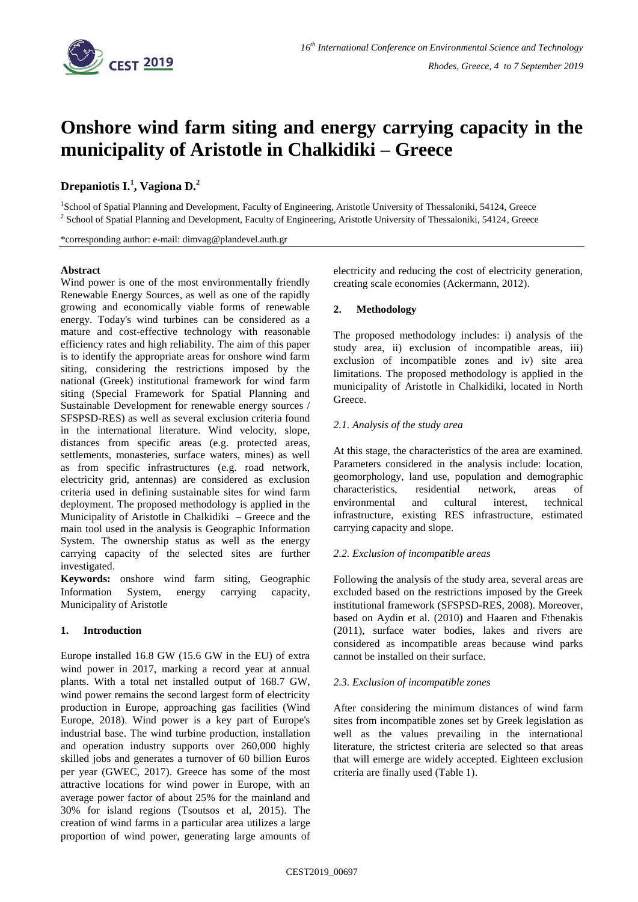

# **Onshore wind farm siting and energy carrying capacity in the municipality of Aristotle in Chalkidiki – Greece**

# **Drepaniotis I. 1 , Vagiona D. 2**

<sup>1</sup>School of Spatial Planning and Development, Faculty of Engineering, Aristotle University of Thessaloniki, 54124, Greece <sup>2</sup> School of Spatial Planning and Development, Faculty of Engineering, Aristotle University of Thessaloniki, 54124, Greece

\*corresponding author: e-mail: dimvag@plandevel.auth.gr

# **Abstract**

Wind power is one of the most environmentally friendly Renewable Energy Sources, as well as one of the rapidly growing and economically viable forms of renewable energy. Today's wind turbines can be considered as a mature and cost-effective technology with reasonable efficiency rates and high reliability. The aim of this paper is to identify the appropriate areas for onshore wind farm siting, considering the restrictions imposed by the national (Greek) institutional framework for wind farm siting (Special Framework for Spatial Planning and Sustainable Development for renewable energy sources / SFSPSD-RES) as well as several exclusion criteria found in the international literature. Wind velocity, slope, distances from specific areas (e.g. protected areas, settlements, monasteries, surface waters, mines) as well as from specific infrastructures (e.g. road network, electricity grid, antennas) are considered as exclusion criteria used in defining sustainable sites for wind farm deployment. The proposed methodology is applied in the Municipality of Aristotle in Chalkidiki – Greece and the main tool used in the analysis is Geographic Information System. The ownership status as well as the energy carrying capacity of the selected sites are further investigated.

**Keywords:** onshore wind farm siting, Geographic Information System, energy carrying capacity, Municipality of Aristotle

# **1. Introduction**

Europe installed 16.8 GW (15.6 GW in the EU) of extra wind power in 2017, marking a record year at annual plants. With a total net installed output of 168.7 GW, wind power remains the second largest form of electricity production in Europe, approaching gas facilities (Wind Europe, 2018). Wind power is a key part of Europe's industrial base. The wind turbine production, installation and operation industry supports over 260,000 highly skilled jobs and generates a turnover of 60 billion Euros per year (GWEC, 2017). Greece has some of the most attractive locations for wind power in Europe, with an average power factor of about 25% for the mainland and 30% for island regions (Tsoutsos et al, 2015). The creation of wind farms in a particular area utilizes a large proportion of wind power, generating large amounts of electricity and reducing the cost of electricity generation, creating scale economies (Ackermann, 2012).

# **2. Methodology**

The proposed methodology includes: i) analysis of the study area, ii) exclusion of incompatible areas, iii) exclusion of incompatible zones and iv) site area limitations. The proposed methodology is applied in the municipality of Aristotle in Chalkidiki, located in North Greece.

# *2.1. Analysis of the study area*

At this stage, the characteristics of the area are examined. Parameters considered in the analysis include: location, geomorphology, land use, population and demographic characteristics, residential network, areas of environmental and cultural interest, technical infrastructure, existing RES infrastructure, estimated carrying capacity and slope.

#### *2.2. Exclusion of incompatible areas*

Following the analysis of the study area, several areas are excluded based on the restrictions imposed by the Greek institutional framework (SFSPSD-RES, 2008). Moreover, based on Aydin et al. (2010) and Haaren and Fthenakis (2011), surface water bodies, lakes and rivers are considered as incompatible areas because wind parks cannot be installed on their surface.

#### *2.3. Exclusion of incompatible zones*

After considering the minimum distances of wind farm sites from incompatible zones set by Greek legislation as well as the values prevailing in the international literature, the strictest criteria are selected so that areas that will emerge are widely accepted. Eighteen exclusion criteria are finally used (Table 1).